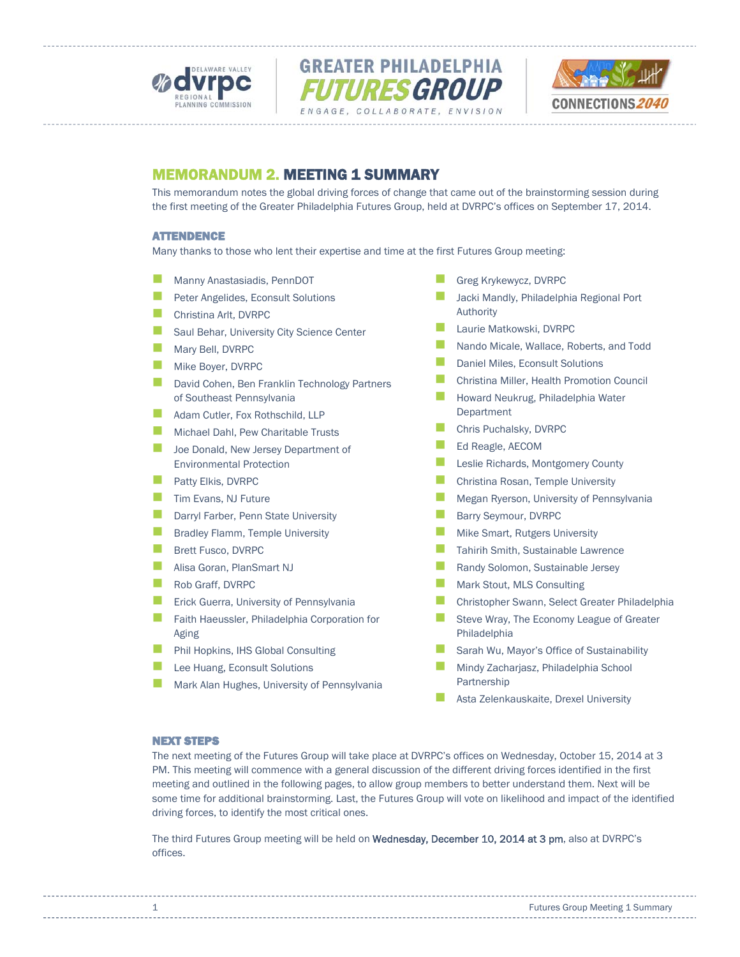





# MEMORANDUM 2. MEETING 1 SUMMARY

This memorandum notes the global driving forces of change that came out of the brainstorming session during the first meeting of the Greater Philadelphia Futures Group, held at DVRPC's offices on September 17, 2014.

# ATTENDENCE

Many thanks to those who lent their expertise and time at the first Futures Group meeting:

- Manny Anastasiadis, PennDOT
- **Peter Angelides, Econsult Solutions**
- **Christina Arlt, DVRPC**
- Saul Behar, University City Science Center
- Mary Bell, DVRPC
- Mike Boyer, DVRPC
- David Cohen, Ben Franklin Technology Partners of Southeast Pennsylvania
- Adam Cutler, Fox Rothschild, LLP
- Michael Dahl, Pew Charitable Trusts
- **Joe Donald, New Jersey Department of** Environmental Protection
- **Patty Elkis, DVRPC**
- **Tim Evans, NJ Future**
- **Darryl Farber, Penn State University**
- **Bradley Flamm, Temple University**
- **Brett Fusco, DVRPC**
- Alisa Goran, PlanSmart NJ
- Rob Graff, DVRPC
- **EXTER** Erick Guerra, University of Pennsylvania
- **Faith Haeussler, Philadelphia Corporation for** Aging
- **Phil Hopkins, IHS Global Consulting**
- Lee Huang, Econsult Solutions
- Mark Alan Hughes, University of Pennsylvania
- Greg Krykewycz, DVRPC
- Jacki Mandly, Philadelphia Regional Port Authority
- **Laurie Matkowski, DVRPC**
- Nando Micale, Wallace, Roberts, and Todd
- **Daniel Miles, Econsult Solutions**
- Christina Miller, Health Promotion Council
- Howard Neukrug, Philadelphia Water Department
- Chris Puchalsky, DVRPC
- Ed Reagle, AECOM
- **Leslie Richards, Montgomery County**
- **Christina Rosan, Temple University**
- **Megan Ryerson, University of Pennsylvania**
- **Barry Seymour, DVRPC**
- **Mike Smart, Rutgers University**
- Tahirih Smith, Sustainable Lawrence
- **Randy Solomon, Sustainable Jersey**
- Mark Stout, MLS Consulting
- Christopher Swann, Select Greater Philadelphia
- Steve Wray, The Economy League of Greater Philadelphia
- Sarah Wu, Mayor's Office of Sustainability
- Mindy Zacharjasz, Philadelphia School Partnership
- Asta Zelenkauskaite, Drexel University

#### NEXT STEPS

The next meeting of the Futures Group will take place at DVRPC's offices on Wednesday, October 15, 2014 at 3 PM. This meeting will commence with a general discussion of the different driving forces identified in the first meeting and outlined in the following pages, to allow group members to better understand them. Next will be some time for additional brainstorming. Last, the Futures Group will vote on likelihood and impact of the identified driving forces, to identify the most critical ones.

The third Futures Group meeting will be held on Wednesday, December 10, 2014 at 3 pm, also at DVRPC's offices.

1 **1 Futures Group Meeting 1 Summary**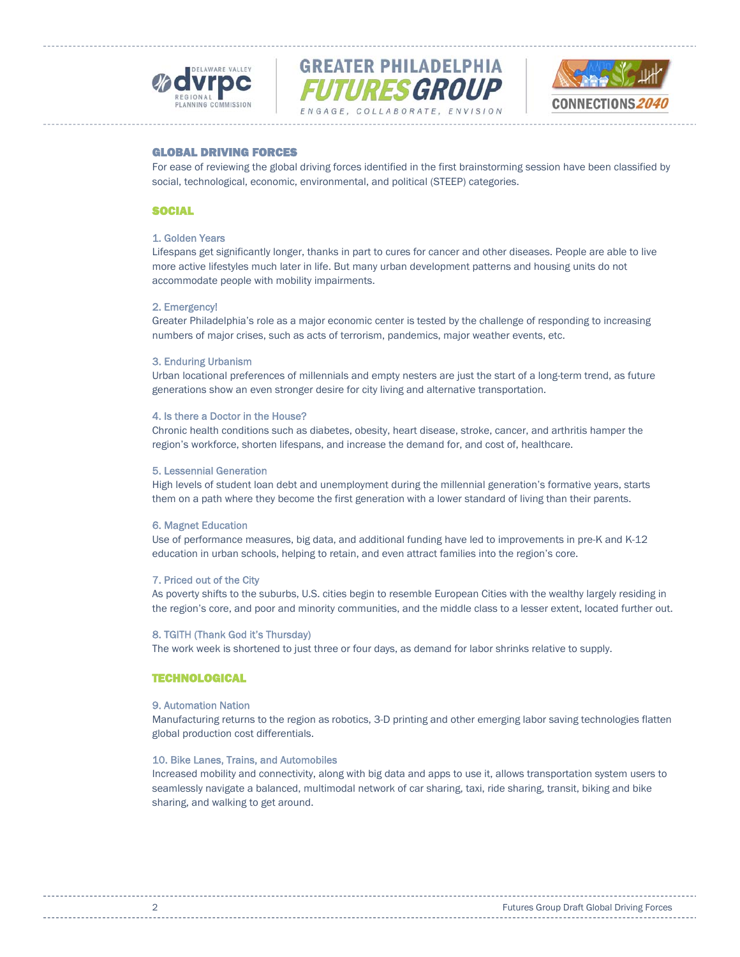





# GLOBAL DRIVING FORCES

For ease of reviewing the global driving forces identified in the first brainstorming session have been classified by social, technological, economic, environmental, and political (STEEP) categories.

# **SOCIAL**

# 1. Golden Years

Lifespans get significantly longer, thanks in part to cures for cancer and other diseases. People are able to live more active lifestyles much later in life. But many urban development patterns and housing units do not accommodate people with mobility impairments.

#### 2. Emergency!

Greater Philadelphia's role as a major economic center is tested by the challenge of responding to increasing numbers of major crises, such as acts of terrorism, pandemics, major weather events, etc.

#### 3. Enduring Urbanism

Urban locational preferences of millennials and empty nesters are just the start of a long-term trend, as future generations show an even stronger desire for city living and alternative transportation.

#### 4. Is there a Doctor in the House?

Chronic health conditions such as diabetes, obesity, heart disease, stroke, cancer, and arthritis hamper the region's workforce, shorten lifespans, and increase the demand for, and cost of, healthcare.

# 5. Lessennial Generation

High levels of student loan debt and unemployment during the millennial generation's formative years, starts them on a path where they become the first generation with a lower standard of living than their parents.

#### 6. Magnet Education

Use of performance measures, big data, and additional funding have led to improvements in pre-K and K-12 education in urban schools, helping to retain, and even attract families into the region's core.

#### 7. Priced out of the City

As poverty shifts to the suburbs, U.S. cities begin to resemble European Cities with the wealthy largely residing in the region's core, and poor and minority communities, and the middle class to a lesser extent, located further out.

#### 8. TGITH (Thank God it's Thursday)

The work week is shortened to just three or four days, as demand for labor shrinks relative to supply.

# **TECHNOLOGICAL**

#### 9. Automation Nation

Manufacturing returns to the region as robotics, 3-D printing and other emerging labor saving technologies flatten global production cost differentials.

### 10. Bike Lanes, Trains, and Automobiles

Increased mobility and connectivity, along with big data and apps to use it, allows transportation system users to seamlessly navigate a balanced, multimodal network of car sharing, taxi, ride sharing, transit, biking and bike sharing, and walking to get around.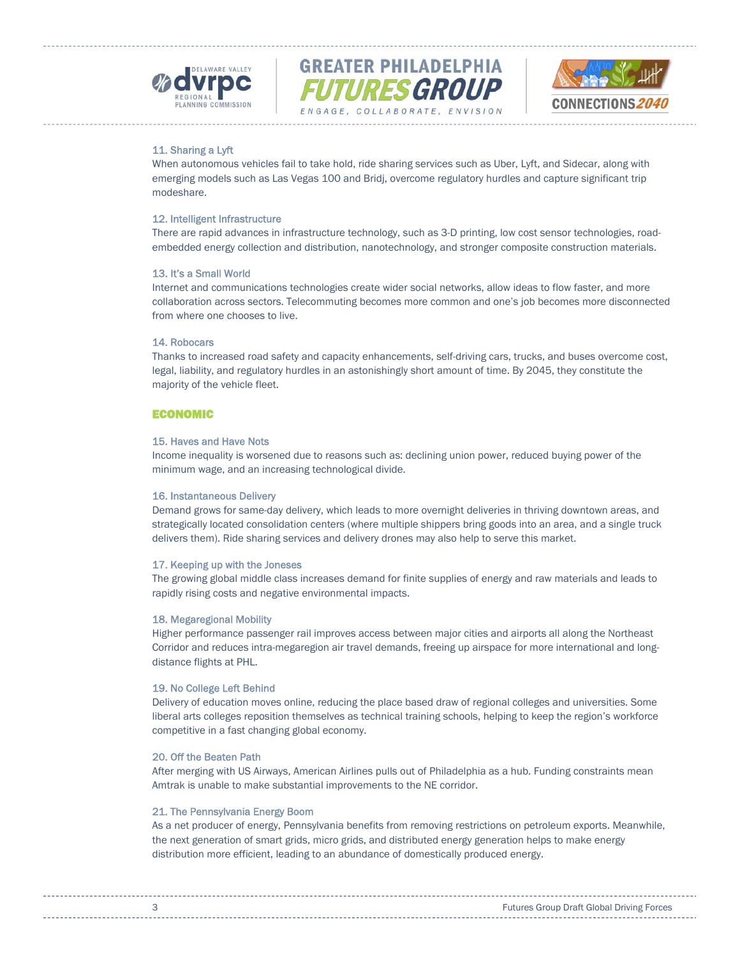





# 11. Sharing a Lyft

When autonomous vehicles fail to take hold, ride sharing services such as Uber, Lyft, and Sidecar, along with emerging models such as Las Vegas 100 and Bridj, overcome regulatory hurdles and capture significant trip modeshare.

# 12. Intelligent Infrastructure

There are rapid advances in infrastructure technology, such as 3-D printing, low cost sensor technologies, roadembedded energy collection and distribution, nanotechnology, and stronger composite construction materials.

# 13. It's a Small World

Internet and communications technologies create wider social networks, allow ideas to flow faster, and more collaboration across sectors. Telecommuting becomes more common and one's job becomes more disconnected from where one chooses to live.

# 14. Robocars

Thanks to increased road safety and capacity enhancements, self-driving cars, trucks, and buses overcome cost, legal, liability, and regulatory hurdles in an astonishingly short amount of time. By 2045, they constitute the majority of the vehicle fleet.

# ECONOMIC

# 15. Haves and Have Nots

Income inequality is worsened due to reasons such as: declining union power, reduced buying power of the minimum wage, and an increasing technological divide.

# 16. Instantaneous Delivery

Demand grows for same-day delivery, which leads to more overnight deliveries in thriving downtown areas, and strategically located consolidation centers (where multiple shippers bring goods into an area, and a single truck delivers them). Ride sharing services and delivery drones may also help to serve this market.

# 17. Keeping up with the Joneses

The growing global middle class increases demand for finite supplies of energy and raw materials and leads to rapidly rising costs and negative environmental impacts.

# 18. Megaregional Mobility

Higher performance passenger rail improves access between major cities and airports all along the Northeast Corridor and reduces intra-megaregion air travel demands, freeing up airspace for more international and longdistance flights at PHL.

# 19. No College Left Behind

Delivery of education moves online, reducing the place based draw of regional colleges and universities. Some liberal arts colleges reposition themselves as technical training schools, helping to keep the region's workforce competitive in a fast changing global economy.

# 20. Off the Beaten Path

After merging with US Airways, American Airlines pulls out of Philadelphia as a hub. Funding constraints mean Amtrak is unable to make substantial improvements to the NE corridor.

# 21. The Pennsylvania Energy Boom

As a net producer of energy, Pennsylvania benefits from removing restrictions on petroleum exports. Meanwhile, the next generation of smart grids, micro grids, and distributed energy generation helps to make energy distribution more efficient, leading to an abundance of domestically produced energy.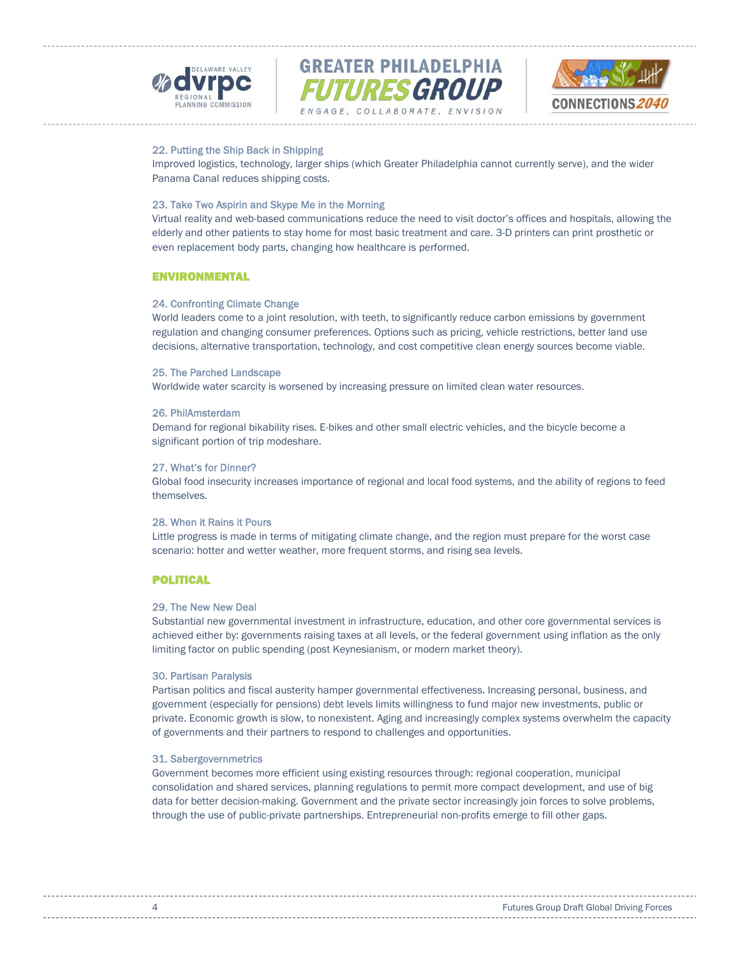





# 22. Putting the Ship Back in Shipping

Improved logistics, technology, larger ships (which Greater Philadelphia cannot currently serve), and the wider Panama Canal reduces shipping costs.

# 23. Take Two Aspirin and Skype Me in the Morning

Virtual reality and web-based communications reduce the need to visit doctor's offices and hospitals, allowing the elderly and other patients to stay home for most basic treatment and care. 3-D printers can print prosthetic or even replacement body parts, changing how healthcare is performed.

#### ENVIRONMENTAL

#### 24. Confronting Climate Change

World leaders come to a joint resolution, with teeth, to significantly reduce carbon emissions by government regulation and changing consumer preferences. Options such as pricing, vehicle restrictions, better land use decisions, alternative transportation, technology, and cost competitive clean energy sources become viable.

#### 25. The Parched Landscape

Worldwide water scarcity is worsened by increasing pressure on limited clean water resources.

### 26. PhilAmsterdam

Demand for regional bikability rises. E-bikes and other small electric vehicles, and the bicycle become a significant portion of trip modeshare.

# 27. What's for Dinner?

Global food insecurity increases importance of regional and local food systems, and the ability of regions to feed themselves.

# 28. When it Rains it Pours

Little progress is made in terms of mitigating climate change, and the region must prepare for the worst case scenario: hotter and wetter weather, more frequent storms, and rising sea levels.

# POLITICAL

### 29. The New New Deal

Substantial new governmental investment in infrastructure, education, and other core governmental services is achieved either by: governments raising taxes at all levels, or the federal government using inflation as the only limiting factor on public spending (post Keynesianism, or modern market theory).

#### 30. Partisan Paralysis

Partisan politics and fiscal austerity hamper governmental effectiveness. Increasing personal, business, and government (especially for pensions) debt levels limits willingness to fund major new investments, public or private. Economic growth is slow, to nonexistent. Aging and increasingly complex systems overwhelm the capacity of governments and their partners to respond to challenges and opportunities.

### 31. Sabergovernmetrics

Government becomes more efficient using existing resources through: regional cooperation, municipal consolidation and shared services, planning regulations to permit more compact development, and use of big data for better decision-making. Government and the private sector increasingly join forces to solve problems, through the use of public-private partnerships. Entrepreneurial non-profits emerge to fill other gaps.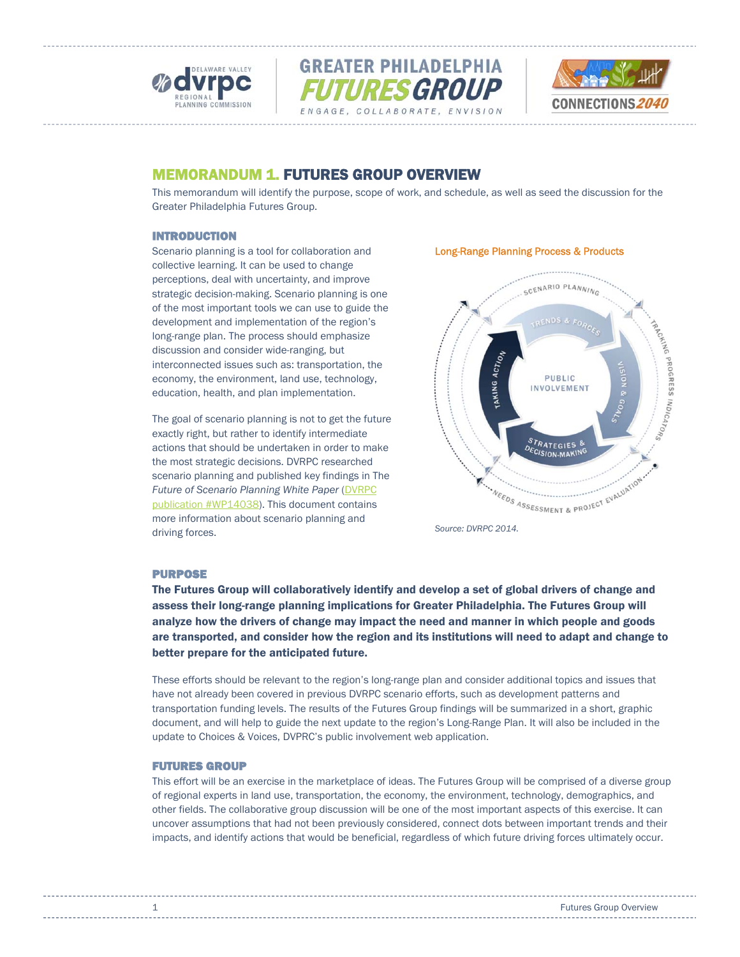





# MEMORANDUM 1. FUTURES GROUP OVERVIEW

This memorandum will identify the purpose, scope of work, and schedule, as well as seed the discussion for the Greater Philadelphia Futures Group.

# INTRODUCTION

Scenario planning is a tool for collaboration and collective learning. It can be used to change perceptions, deal with uncertainty, and improve strategic decision-making. Scenario planning is one of the most important tools we can use to guide the development and implementation of the region's long-range plan. The process should emphasize discussion and consider wide-ranging, but interconnected issues such as: transportation, the economy, the environment, land use, technology, education, health, and plan implementation.

The goal of scenario planning is not to get the future exactly right, but rather to identify intermediate actions that should be undertaken in order to make the most strategic decisions. DVRPC researched scenario planning and published key findings in The **Future of Scenario Planning White Paper (DVRPC)** publication #WP14038). This document contains more information about scenario planning and driving forces.

# Long-Range Planning Process & Products



# PURPOSE

The Futures Group will collaboratively identify and develop a set of global drivers of change and assess their long-range planning implications for Greater Philadelphia. The Futures Group will analyze how the drivers of change may impact the need and manner in which people and goods are transported, and consider how the region and its institutions will need to adapt and change to better prepare for the anticipated future.

These efforts should be relevant to the region's long-range plan and consider additional topics and issues that have not already been covered in previous DVRPC scenario efforts, such as development patterns and transportation funding levels. The results of the Futures Group findings will be summarized in a short, graphic document, and will help to guide the next update to the region's Long-Range Plan. It will also be included in the update to Choices & Voices, DVPRC's public involvement web application.

# FUTURES GROUP

This effort will be an exercise in the marketplace of ideas. The Futures Group will be comprised of a diverse group of regional experts in land use, transportation, the economy, the environment, technology, demographics, and other fields. The collaborative group discussion will be one of the most important aspects of this exercise. It can uncover assumptions that had not been previously considered, connect dots between important trends and their impacts, and identify actions that would be beneficial, regardless of which future driving forces ultimately occur.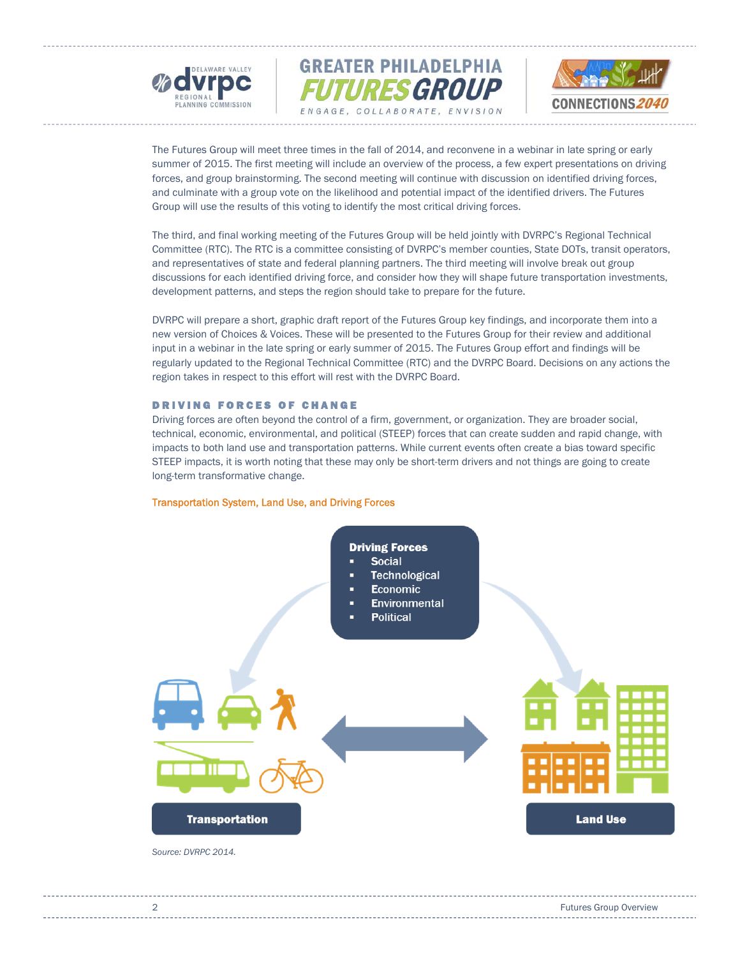





The Futures Group will meet three times in the fall of 2014, and reconvene in a webinar in late spring or early summer of 2015. The first meeting will include an overview of the process, a few expert presentations on driving forces, and group brainstorming. The second meeting will continue with discussion on identified driving forces, and culminate with a group vote on the likelihood and potential impact of the identified drivers. The Futures Group will use the results of this voting to identify the most critical driving forces.

The third, and final working meeting of the Futures Group will be held jointly with DVRPC's Regional Technical Committee (RTC). The RTC is a committee consisting of DVRPC's member counties, State DOTs, transit operators, and representatives of state and federal planning partners. The third meeting will involve break out group discussions for each identified driving force, and consider how they will shape future transportation investments, development patterns, and steps the region should take to prepare for the future.

DVRPC will prepare a short, graphic draft report of the Futures Group key findings, and incorporate them into a new version of Choices & Voices. These will be presented to the Futures Group for their review and additional input in a webinar in the late spring or early summer of 2015. The Futures Group effort and findings will be regularly updated to the Regional Technical Committee (RTC) and the DVRPC Board. Decisions on any actions the region takes in respect to this effort will rest with the DVRPC Board.

### DRIVING FORCES OF CHANGE

Driving forces are often beyond the control of a firm, government, or organization. They are broader social, technical, economic, environmental, and political (STEEP) forces that can create sudden and rapid change, with impacts to both land use and transportation patterns. While current events often create a bias toward specific STEEP impacts, it is worth noting that these may only be short-term drivers and not things are going to create long-term transformative change.

#### Transportation System, Land Use, and Driving Forces

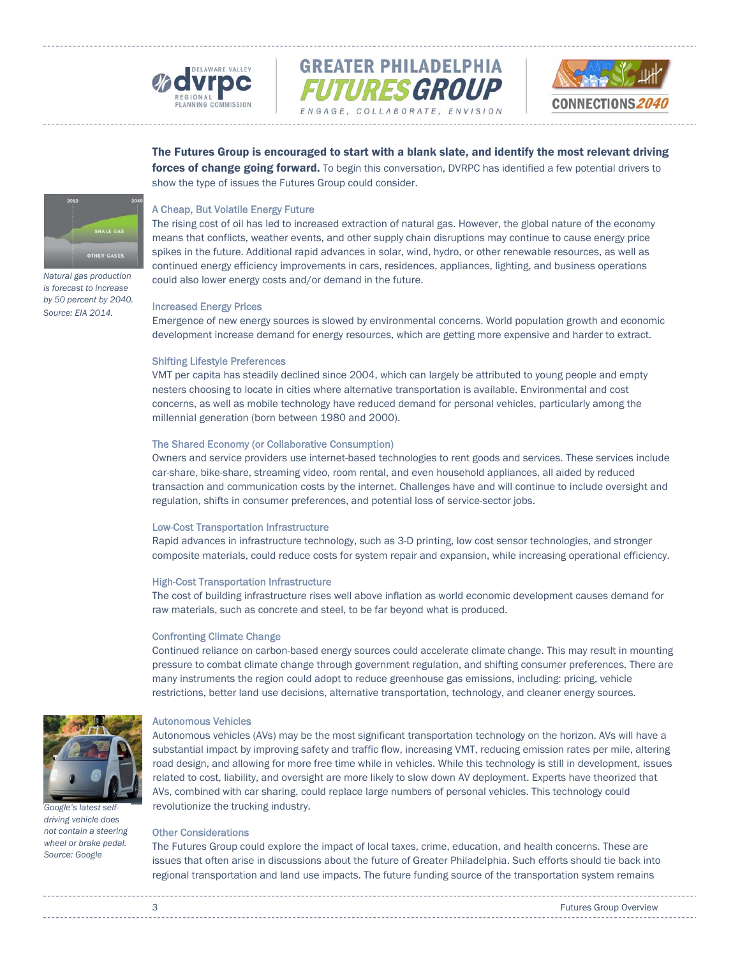



The Futures Group is encouraged to start with a blank slate, and identify the most relevant driving forces of change going forward. To begin this conversation, DVRPC has identified a few potential drivers to show the type of issues the Futures Group could consider.

# A Cheap, But Volatile Energy Future

The rising cost of oil has led to increased extraction of natural gas. However, the global nature of the economy means that conflicts, weather events, and other supply chain disruptions may continue to cause energy price spikes in the future. Additional rapid advances in solar, wind, hydro, or other renewable resources, as well as continued energy efficiency improvements in cars, residences, appliances, lighting, and business operations could also lower energy costs and/or demand in the future.

#### Increased Energy Prices

Emergence of new energy sources is slowed by environmental concerns. World population growth and economic development increase demand for energy resources, which are getting more expensive and harder to extract.

#### Shifting Lifestyle Preferences

VMT per capita has steadily declined since 2004, which can largely be attributed to young people and empty nesters choosing to locate in cities where alternative transportation is available. Environmental and cost concerns, as well as mobile technology have reduced demand for personal vehicles, particularly among the millennial generation (born between 1980 and 2000).

# The Shared Economy (or Collaborative Consumption)

Owners and service providers use internet-based technologies to rent goods and services. These services include car-share, bike-share, streaming video, room rental, and even household appliances, all aided by reduced transaction and communication costs by the internet. Challenges have and will continue to include oversight and regulation, shifts in consumer preferences, and potential loss of service-sector jobs.

#### Low-Cost Transportation Infrastructure

Rapid advances in infrastructure technology, such as 3-D printing, low cost sensor technologies, and stronger composite materials, could reduce costs for system repair and expansion, while increasing operational efficiency.

#### High-Cost Transportation Infrastructure

The cost of building infrastructure rises well above inflation as world economic development causes demand for raw materials, such as concrete and steel, to be far beyond what is produced.

#### Confronting Climate Change

Continued reliance on carbon-based energy sources could accelerate climate change. This may result in mounting pressure to combat climate change through government regulation, and shifting consumer preferences. There are many instruments the region could adopt to reduce greenhouse gas emissions, including: pricing, vehicle restrictions, better land use decisions, alternative transportation, technology, and cleaner energy sources.



*Google's latest selfdriving vehicle does not contain a steering wheel or brake pedal. Source: Google* 

#### Autonomous Vehicles

Autonomous vehicles (AVs) may be the most significant transportation technology on the horizon. AVs will have a substantial impact by improving safety and traffic flow, increasing VMT, reducing emission rates per mile, altering road design, and allowing for more free time while in vehicles. While this technology is still in development, issues related to cost, liability, and oversight are more likely to slow down AV deployment. Experts have theorized that AVs, combined with car sharing, could replace large numbers of personal vehicles. This technology could revolutionize the trucking industry.

#### Other Considerations

The Futures Group could explore the impact of local taxes, crime, education, and health concerns. These are issues that often arise in discussions about the future of Greater Philadelphia. Such efforts should tie back into regional transportation and land use impacts. The future funding source of the transportation system remains

*Natural gas production is forecast to increase by 50 percent by 2040. Source: EIA 2014.* 

**HALE GAS** 

**OTHER GASES**